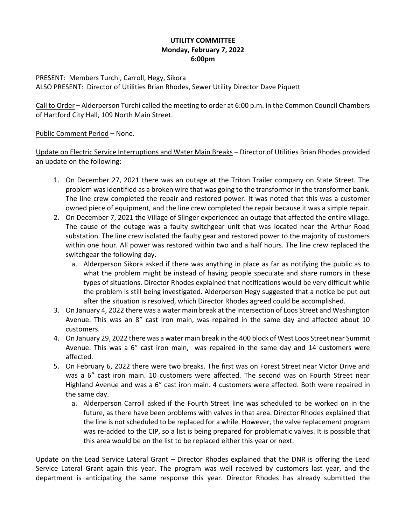## **UTILITY COMMITTEE Monday, February 7, 2022 6:00pm**

PRESENT: Members Turchi, Carroll, Hegy, Sikora ALSO PRESENT: Director of Utilities Brian Rhodes, Sewer Utility Director Dave Piquett

Call to Order – Alderperson Turchi called the meeting to order at 6:00 p.m. in the Common Council Chambers of Hartford City Hall, 109 North Main Street.

Public Comment Period – None.

Update on Electric Service Interruptions and Water Main Breaks – Director of Utilities Brian Rhodes provided an update on the following:

- 1. On December 27, 2021 there was an outage at the Triton Trailer company on State Street. The problem was identified as a broken wire that was going to the transformer in the transformer bank. The line crew completed the repair and restored power. It was noted that this was a customer owned piece of equipment, and the line crew completed the repair because it was a simple repair.
- 2. On December 7, 2021 the Village of Slinger experienced an outage that affected the entire village. The cause of the outage was a faulty switchgear unit that was located near the Arthur Road substation. The line crew isolated the faulty gear and restored power to the majority of customers within one hour. All power was restored within two and a half hours. The line crew replaced the switchgear the following day.
	- a. Alderperson Sikora asked if there was anything in place as far as notifying the public as to what the problem might be instead of having people speculate and share rumors in these types of situations. Director Rhodes explained that notifications would be very difficult while the problem is still being investigated. Alderperson Hegy suggested that a notice be put out after the situation is resolved, which Director Rhodes agreed could be accomplished.
- 3. On January 4, 2022 there was a water main break at the intersection of Loos Street and Washington Avenue. This was an 8" cast iron main, was repaired in the same day and affected about 10 customers.
- 4. On January 29, 2022 there was a water main break in the 400 block of West Loos Street near Summit Avenue. This was a 6" cast iron main, was repaired in the same day and 14 customers were affected.
- 5. On February 6, 2022 there were two breaks. The first was on Forest Street near Victor Drive and was a 6" cast iron main. 10 customers were affected. The second was on Fourth Street near Highland Avenue and was a 6" cast iron main. 4 customers were affected. Both were repaired in the same day.
	- a. Alderperson Carroll asked if the Fourth Street line was scheduled to be worked on in the future, as there have been problems with valves in that area. Director Rhodes explained that the line is not scheduled to be replaced for a while. However, the valve replacement program was re-added to the CIP, so a list is being prepared for problematic valves. It is possible that this area would be on the list to be replaced either this year or next.

Update on the Lead Service Lateral Grant – Director Rhodes explained that the DNR is offering the Lead Service Lateral Grant again this year. The program was well received by customers last year, and the department is anticipating the same response this year. Director Rhodes has already submitted the